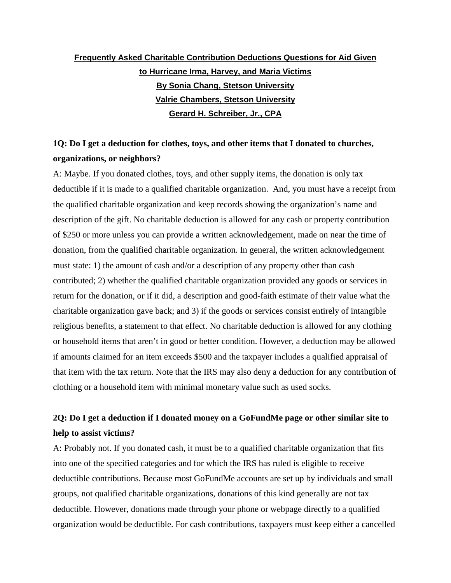# **Frequently Asked Charitable Contribution Deductions Questions for Aid Given to Hurricane Irma, Harvey, and Maria Victims By Sonia Chang, Stetson University Valrie Chambers, Stetson University Gerard H. Schreiber, Jr., CPA**

# **1Q: Do I get a deduction for clothes, toys, and other items that I donated to churches, organizations, or neighbors?**

A: Maybe. If you donated clothes, toys, and other supply items, the donation is only tax deductible if it is made to a qualified charitable organization. And, you must have a receipt from the qualified charitable organization and keep records showing the organization's name and description of the gift. No charitable deduction is allowed for any cash or property contribution of \$250 or more unless you can provide a written acknowledgement, made on near the time of donation, from the qualified charitable organization. In general, the written acknowledgement must state: 1) the amount of cash and/or a description of any property other than cash contributed; 2) whether the qualified charitable organization provided any goods or services in return for the donation, or if it did, a description and good-faith estimate of their value what the charitable organization gave back; and 3) if the goods or services consist entirely of intangible religious benefits, a statement to that effect. No charitable deduction is allowed for any clothing or household items that aren't in good or better condition. However, a deduction may be allowed if amounts claimed for an item exceeds \$500 and the taxpayer includes a qualified appraisal of that item with the tax return. Note that the IRS may also deny a deduction for any contribution of clothing or a household item with minimal monetary value such as used socks.

# **2Q: Do I get a deduction if I donated money on a GoFundMe page or other similar site to help to assist victims?**

A: Probably not. If you donated cash, it must be to a qualified charitable organization that fits into one of the specified categories and for which the IRS has ruled is eligible to receive deductible contributions. Because most GoFundMe accounts are set up by individuals and small groups, not qualified charitable organizations, donations of this kind generally are not tax deductible. However, donations made through your phone or webpage directly to a qualified organization would be deductible. For cash contributions, taxpayers must keep either a cancelled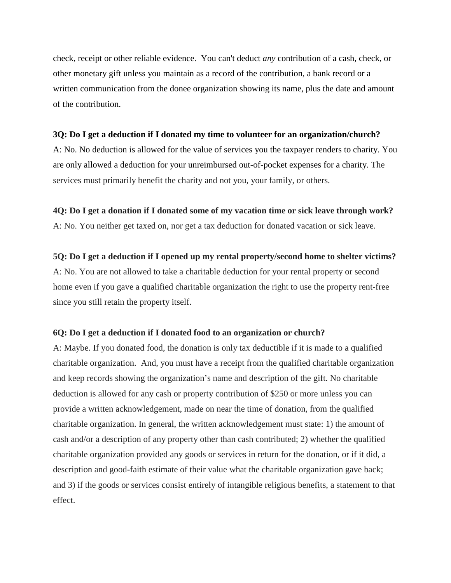check, receipt or other reliable evidence. You can't deduct *any* contribution of a cash, check, or other monetary gift unless you maintain as a record of the contribution, a bank record or a written communication from the donee organization showing its name, plus the date and amount of the contribution.

### **3Q: Do I get a deduction if I donated my time to volunteer for an organization/church?**

A: No. No deduction is allowed for the value of services you the taxpayer renders to charity. You are only allowed a deduction for your unreimbursed out-of-pocket expenses for a charity. The services must primarily benefit the charity and not you, your family, or others.

### **4Q: Do I get a donation if I donated some of my vacation time or sick leave through work?**

A: No. You neither get taxed on, nor get a tax deduction for donated vacation or sick leave.

### **5Q: Do I get a deduction if I opened up my rental property/second home to shelter victims?**

A: No. You are not allowed to take a charitable deduction for your rental property or second home even if you gave a qualified charitable organization the right to use the property rent-free since you still retain the property itself.

### **6Q: Do I get a deduction if I donated food to an organization or church?**

A: Maybe. If you donated food, the donation is only tax deductible if it is made to a qualified charitable organization. And, you must have a receipt from the qualified charitable organization and keep records showing the organization's name and description of the gift. No charitable deduction is allowed for any cash or property contribution of \$250 or more unless you can provide a written acknowledgement, made on near the time of donation, from the qualified charitable organization. In general, the written acknowledgement must state: 1) the amount of cash and/or a description of any property other than cash contributed; 2) whether the qualified charitable organization provided any goods or services in return for the donation, or if it did, a description and good-faith estimate of their value what the charitable organization gave back; and 3) if the goods or services consist entirely of intangible religious benefits, a statement to that effect.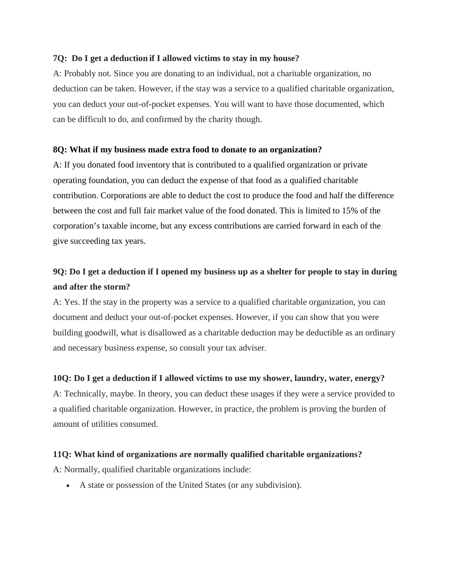## **7Q: Do I get a deduction if I allowed victims to stay in my house?**

A: Probably not. Since you are donating to an individual, not a charitable organization, no deduction can be taken. However, if the stay was a service to a qualified charitable organization, you can deduct your out-of-pocket expenses. You will want to have those documented, which can be difficult to do, and confirmed by the charity though.

## **8Q: What if my business made extra food to donate to an organization?**

A: If you donated food inventory that is contributed to a qualified organization or private operating foundation, you can deduct the expense of that food as a qualified charitable contribution. Corporations are able to deduct the cost to produce the food and half the difference between the cost and full fair market value of the food donated. This is limited to 15% of the corporation's taxable income, but any excess contributions are carried forward in each of the give succeeding tax years.

# **9Q: Do I get a deduction if I opened my business up as a shelter for people to stay in during and after the storm?**

A: Yes. If the stay in the property was a service to a qualified charitable organization, you can document and deduct your out-of-pocket expenses. However, if you can show that you were building goodwill, what is disallowed as a charitable deduction may be deductible as an ordinary and necessary business expense, so consult your tax adviser.

# **10Q: Do I get a deduction if I allowed victims to use my shower, laundry, water, energy?**

A: Technically, maybe. In theory, you can deduct these usages if they were a service provided to a qualified charitable organization. However, in practice, the problem is proving the burden of amount of utilities consumed.

# **11Q: What kind of organizations are normally qualified charitable organizations?**

A: Normally, qualified charitable organizations include:

• A state or possession of the United States (or any subdivision).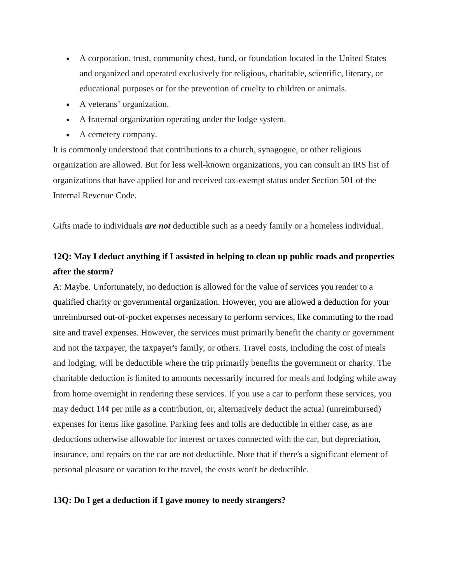- A corporation, trust, community chest, fund, or foundation located in the United States and organized and operated exclusively for religious, charitable, scientific, literary, or educational purposes or for the prevention of cruelty to children or animals.
- A veterans' organization.
- A fraternal organization operating under the lodge system.
- A cemetery company.

It is commonly understood that contributions to a church, synagogue, or other religious organization are allowed. But for less well-known organizations, you can consult an IRS list of organizations that have applied for and received tax-exempt status under Section 501 of the Internal Revenue Code.

Gifts made to individuals *are not* deductible such as a needy family or a homeless individual.

# **12Q: May I deduct anything if I assisted in helping to clean up public roads and properties after the storm?**

A: Maybe. Unfortunately, no deduction is allowed for the value of services you render to a qualified charity or governmental organization. However, you are allowed a deduction for your unreimbursed out-of-pocket expenses necessary to perform services, like commuting to the road site and travel expenses. However, the services must primarily benefit the charity or government and not the taxpayer, the taxpayer's family, or others. Travel costs, including the cost of meals and lodging, will be deductible where the trip primarily benefits the government or charity. The charitable deduction is limited to amounts necessarily incurred for meals and lodging while away from home overnight in rendering these services. If you use a car to perform these services, you may deduct  $14¢$  per mile as a contribution, or, alternatively deduct the actual (unreimbursed) expenses for items like gasoline. Parking fees and tolls are deductible in either case, as are deductions otherwise allowable for interest or taxes connected with the car, but depreciation, insurance, and repairs on the car are not deductible. Note that if there's a significant element of personal pleasure or vacation to the travel, the costs won't be deductible.

### **13Q: Do I get a deduction if I gave money to needy strangers?**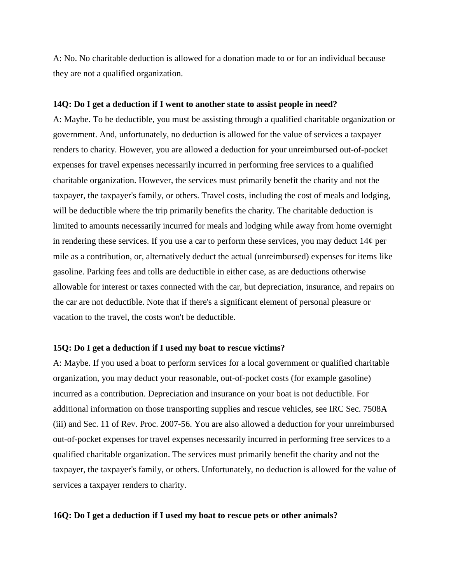A: No. No charitable deduction is allowed for a donation made to or for an individual because they are not a qualified organization.

#### **14Q: Do I get a deduction if I went to another state to assist people in need?**

A: Maybe. To be deductible, you must be assisting through a qualified charitable organization or government. And, unfortunately, no deduction is allowed for the value of services a taxpayer renders to charity. However, you are allowed a deduction for your unreimbursed out-of-pocket expenses for travel expenses necessarily incurred in performing free services to a qualified charitable organization. However, the services must primarily benefit the charity and not the taxpayer, the taxpayer's family, or others. Travel costs, including the cost of meals and lodging, will be deductible where the trip primarily benefits the charity. The charitable deduction is limited to amounts necessarily incurred for meals and lodging while away from home overnight in rendering these services. If you use a car to perform these services, you may deduct  $14¢$  per mile as a contribution, or, alternatively deduct the actual (unreimbursed) expenses for items like gasoline. Parking fees and tolls are deductible in either case, as are deductions otherwise allowable for interest or taxes connected with the car, but depreciation, insurance, and repairs on the car are not deductible. Note that if there's a significant element of personal pleasure or vacation to the travel, the costs won't be deductible.

### **15Q: Do I get a deduction if I used my boat to rescue victims?**

A: Maybe. If you used a boat to perform services for a local government or qualified charitable organization, you may deduct your reasonable, out-of-pocket costs (for example gasoline) incurred as a contribution. Depreciation and insurance on your boat is not deductible. For additional information on those transporting supplies and rescue vehicles, see IRC Sec. 7508A (iii) and Sec. 11 of Rev. Proc. 2007-56. You are also allowed a deduction for your unreimbursed out-of-pocket expenses for travel expenses necessarily incurred in performing free services to a qualified charitable organization. The services must primarily benefit the charity and not the taxpayer, the taxpayer's family, or others. Unfortunately, no deduction is allowed for the value of services a taxpayer renders to charity.

### **16Q: Do I get a deduction if I used my boat to rescue pets or other animals?**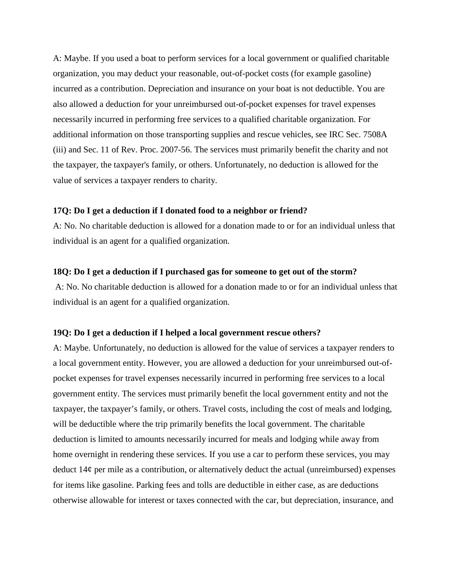A: Maybe. If you used a boat to perform services for a local government or qualified charitable organization, you may deduct your reasonable, out-of-pocket costs (for example gasoline) incurred as a contribution. Depreciation and insurance on your boat is not deductible. You are also allowed a deduction for your unreimbursed out-of-pocket expenses for travel expenses necessarily incurred in performing free services to a qualified charitable organization. For additional information on those transporting supplies and rescue vehicles, see IRC Sec. 7508A (iii) and Sec. 11 of Rev. Proc. 2007-56. The services must primarily benefit the charity and not the taxpayer, the taxpayer's family, or others. Unfortunately, no deduction is allowed for the value of services a taxpayer renders to charity.

### **17Q: Do I get a deduction if I donated food to a neighbor or friend?**

A: No. No charitable deduction is allowed for a donation made to or for an individual unless that individual is an agent for a qualified organization.

#### **18Q: Do I get a deduction if I purchased gas for someone to get out of the storm?**

A: No. No charitable deduction is allowed for a donation made to or for an individual unless that individual is an agent for a qualified organization.

#### **19Q: Do I get a deduction if I helped a local government rescue others?**

A: Maybe. Unfortunately, no deduction is allowed for the value of services a taxpayer renders to a local government entity. However, you are allowed a deduction for your unreimbursed out-ofpocket expenses for travel expenses necessarily incurred in performing free services to a local government entity. The services must primarily benefit the local government entity and not the taxpayer, the taxpayer's family, or others. Travel costs, including the cost of meals and lodging, will be deductible where the trip primarily benefits the local government. The charitable deduction is limited to amounts necessarily incurred for meals and lodging while away from home overnight in rendering these services. If you use a car to perform these services, you may deduct  $14¢$  per mile as a contribution, or alternatively deduct the actual (unreimbursed) expenses for items like gasoline. Parking fees and tolls are deductible in either case, as are deductions otherwise allowable for interest or taxes connected with the car, but depreciation, insurance, and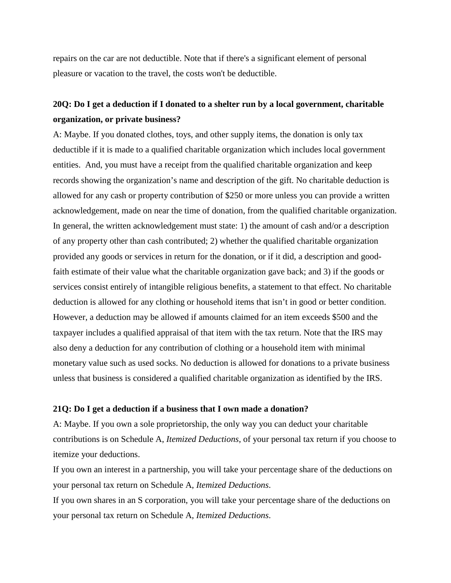repairs on the car are not deductible. Note that if there's a significant element of personal pleasure or vacation to the travel, the costs won't be deductible.

# **20Q: Do I get a deduction if I donated to a shelter run by a local government, charitable organization, or private business?**

A: Maybe. If you donated clothes, toys, and other supply items, the donation is only tax deductible if it is made to a qualified charitable organization which includes local government entities. And, you must have a receipt from the qualified charitable organization and keep records showing the organization's name and description of the gift. No charitable deduction is allowed for any cash or property contribution of \$250 or more unless you can provide a written acknowledgement, made on near the time of donation, from the qualified charitable organization. In general, the written acknowledgement must state: 1) the amount of cash and/or a description of any property other than cash contributed; 2) whether the qualified charitable organization provided any goods or services in return for the donation, or if it did, a description and goodfaith estimate of their value what the charitable organization gave back; and 3) if the goods or services consist entirely of intangible religious benefits, a statement to that effect. No charitable deduction is allowed for any clothing or household items that isn't in good or better condition. However, a deduction may be allowed if amounts claimed for an item exceeds \$500 and the taxpayer includes a qualified appraisal of that item with the tax return. Note that the IRS may also deny a deduction for any contribution of clothing or a household item with minimal monetary value such as used socks. No deduction is allowed for donations to a private business unless that business is considered a qualified charitable organization as identified by the IRS.

## **21Q: Do I get a deduction if a business that I own made a donation?**

A: Maybe. If you own a sole proprietorship, the only way you can deduct your charitable contributions is on Schedule A, *Itemized Deductions*, of your personal tax return if you choose to itemize your deductions.

If you own an interest in a partnership, you will take your percentage share of the deductions on your personal tax return on Schedule A, *Itemized Deductions*.

If you own shares in an S corporation, you will take your percentage share of the deductions on your personal tax return on Schedule A, *Itemized Deductions*.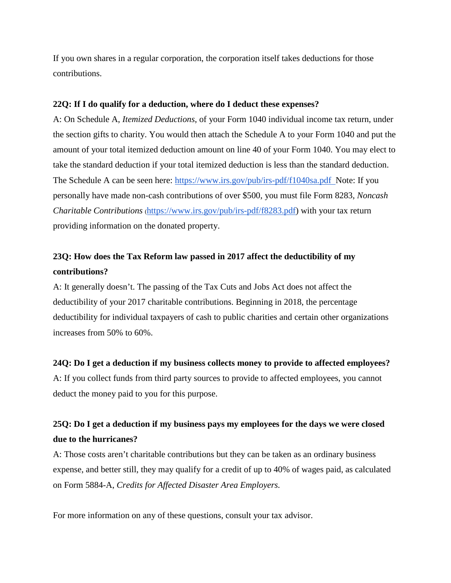If you own shares in a regular corporation, the corporation itself takes deductions for those contributions.

## **22Q: If I do qualify for a deduction, where do I deduct these expenses?**

A: On Schedule A, *Itemized Deductions*, of your Form 1040 individual income tax return, under the section gifts to charity. You would then attach the Schedule A to your Form 1040 and put the amount of your total itemized deduction amount on line 40 of your Form 1040. You may elect to take the standard deduction if your total itemized deduction is less than the standard deduction. The Schedule A can be seen here: <https://www.irs.gov/pub/irs-pdf/f1040sa.pdf> Note: If you personally have made non-cash contributions of over \$500, you must file Form 8283, *Noncash Charitable Contributions* [\(https://www.irs.gov/pub/irs-pdf/f8283.pdf\)](https://www.irs.gov/pub/irs-pdf/f8283.pdf) with your tax return providing information on the donated property.

# **23Q: How does the Tax Reform law passed in 2017 affect the deductibility of my contributions?**

A: It generally doesn't. The passing of the Tax Cuts and Jobs Act does not affect the deductibility of your 2017 charitable contributions. Beginning in 2018, the percentage deductibility for individual taxpayers of cash to public charities and certain other organizations increases from 50% to 60%.

# **24Q: Do I get a deduction if my business collects money to provide to affected employees?**

A: If you collect funds from third party sources to provide to affected employees, you cannot deduct the money paid to you for this purpose.

# **25Q: Do I get a deduction if my business pays my employees for the days we were closed due to the hurricanes?**

A: Those costs aren't charitable contributions but they can be taken as an ordinary business expense, and better still, they may qualify for a credit of up to 40% of wages paid, as calculated on Form 5884-A, *Credits for Affected Disaster Area Employers.* 

For more information on any of these questions, consult your tax advisor.